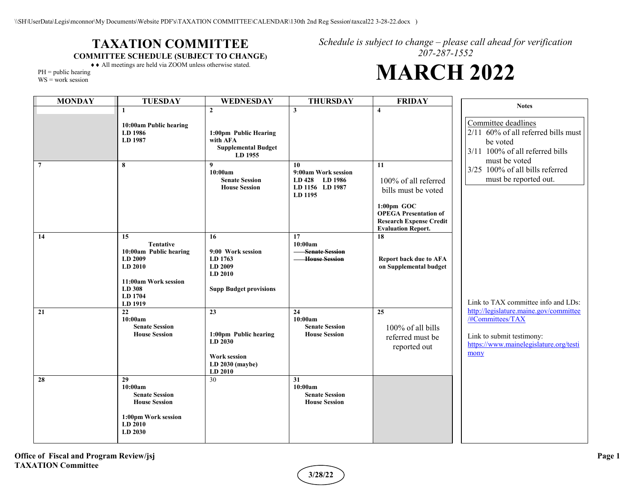## **TAXATION COMMITTEE COMMITTEE SCHEDULE (SUBJECT TO CHANGE)**

*Schedule is subject to change – please call ahead for verification 207-287-1552* **MARCH 2022**

## ♦♦ All meetings are held via ZOOM unless otherwise stated.

 $PH = public hearing$ 

WS = work session

| <b>MONDAY</b>  | <b>TUESDAY</b>                                                                                                                 | WEDNESDAY                                                                                     | <b>THURSDAY</b>                                                           | <b>FRIDAY</b>                                                                                                                                                     | <b>Notes</b>                                                                                                                              |
|----------------|--------------------------------------------------------------------------------------------------------------------------------|-----------------------------------------------------------------------------------------------|---------------------------------------------------------------------------|-------------------------------------------------------------------------------------------------------------------------------------------------------------------|-------------------------------------------------------------------------------------------------------------------------------------------|
|                | $\mathbf{1}$                                                                                                                   | $\mathbf{2}$                                                                                  | 3                                                                         | $\overline{\mathbf{4}}$                                                                                                                                           |                                                                                                                                           |
|                | 10:00am Public hearing<br>LD 1986<br>LD 1987                                                                                   | 1:00pm Public Hearing<br>with AFA<br><b>Supplemental Budget</b><br>LD 1955                    |                                                                           |                                                                                                                                                                   | Committee deadlines<br>2/11 60% of all referred bills must<br>be voted<br>3/11 100% of all referred bills<br>must be voted                |
| $\overline{7}$ | 8                                                                                                                              | 9<br>10:00am<br><b>Senate Session</b><br><b>House Session</b>                                 | 10<br>9:00am Work session<br>LD 428 LD 1986<br>LD 1156 LD 1987<br>LD 1195 | 11<br>100% of all referred<br>bills must be voted<br>$1:00$ pm GOC<br><b>OPEGA Presentation of</b><br><b>Research Expense Credit</b><br><b>Evaluation Report.</b> | 3/25 100% of all bills referred<br>must be reported out.                                                                                  |
| 14             | 15<br><b>Tentative</b><br>10:00am Public hearing<br>LD 2009<br>LD 2010<br>11:00am Work session<br>LD 308<br>LD 1704<br>LD 1919 | 16<br>9:00 Work session<br>LD 1763<br>LD 2009<br>LD 2010<br><b>Supp Budget provisions</b>     | 17<br>10:00am<br><b>Senate Session</b><br><b>House Session</b>            | 18<br><b>Report back due to AFA</b><br>on Supplemental budget                                                                                                     | Link to TAX committee info and LDs:                                                                                                       |
| 21             | 22<br>10:00am<br><b>Senate Session</b><br><b>House Session</b>                                                                 | 23<br>1:00pm Public hearing<br>LD 2030<br><b>Work session</b><br>$LD 2030$ (maybe)<br>LD 2010 | 24<br>10:00am<br><b>Senate Session</b><br><b>House Session</b>            | 25<br>100% of all bills<br>referred must be<br>reported out                                                                                                       | http://legislature.maine.gov/committee<br>/#Committees/TAX<br>Link to submit testimony:<br>https://www.mainelegislature.org/testi<br>mony |
| 28             | 29<br>10:00am<br><b>Senate Session</b><br><b>House Session</b><br>1:00pm Work session<br>LD 2010<br>LD 2030                    | 30                                                                                            | 31<br>10:00am<br><b>Senate Session</b><br><b>House Session</b>            |                                                                                                                                                                   |                                                                                                                                           |